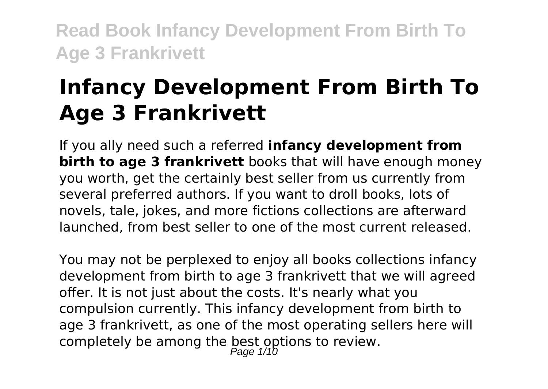# **Infancy Development From Birth To Age 3 Frankrivett**

If you ally need such a referred **infancy development from birth to age 3 frankrivett** books that will have enough money you worth, get the certainly best seller from us currently from several preferred authors. If you want to droll books, lots of novels, tale, jokes, and more fictions collections are afterward launched, from best seller to one of the most current released.

You may not be perplexed to enjoy all books collections infancy development from birth to age 3 frankrivett that we will agreed offer. It is not just about the costs. It's nearly what you compulsion currently. This infancy development from birth to age 3 frankrivett, as one of the most operating sellers here will completely be among the best options to review.<br> $P_{\text{age 1/10}}$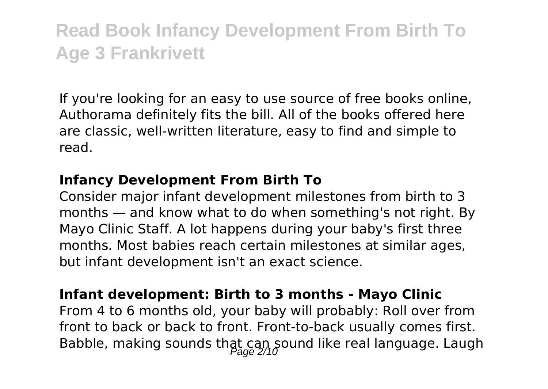If you're looking for an easy to use source of free books online, Authorama definitely fits the bill. All of the books offered here are classic, well-written literature, easy to find and simple to read.

### **Infancy Development From Birth To**

Consider major infant development milestones from birth to 3 months — and know what to do when something's not right. By Mayo Clinic Staff. A lot happens during your baby's first three months. Most babies reach certain milestones at similar ages, but infant development isn't an exact science.

### **Infant development: Birth to 3 months - Mayo Clinic**

From 4 to 6 months old, your baby will probably: Roll over from front to back or back to front. Front-to-back usually comes first. Babble, making sounds that can sound like real language. Laugh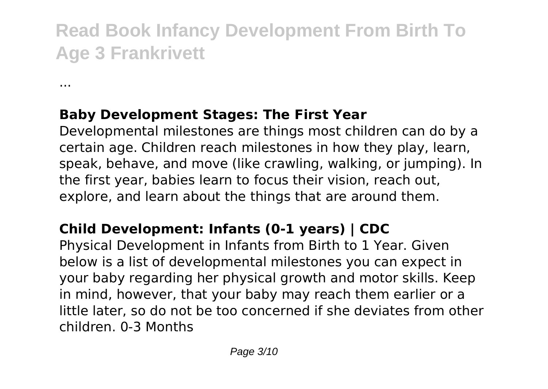...

### **Baby Development Stages: The First Year**

Developmental milestones are things most children can do by a certain age. Children reach milestones in how they play, learn, speak, behave, and move (like crawling, walking, or jumping). In the first year, babies learn to focus their vision, reach out, explore, and learn about the things that are around them.

### **Child Development: Infants (0-1 years) | CDC**

Physical Development in Infants from Birth to 1 Year. Given below is a list of developmental milestones you can expect in your baby regarding her physical growth and motor skills. Keep in mind, however, that your baby may reach them earlier or a little later, so do not be too concerned if she deviates from other children. 0-3 Months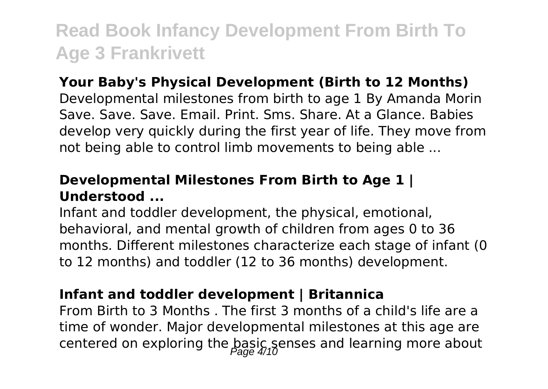### **Your Baby's Physical Development (Birth to 12 Months)**

Developmental milestones from birth to age 1 By Amanda Morin Save. Save. Save. Email. Print. Sms. Share. At a Glance. Babies develop very quickly during the first year of life. They move from not being able to control limb movements to being able ...

### **Developmental Milestones From Birth to Age 1 | Understood ...**

Infant and toddler development, the physical, emotional, behavioral, and mental growth of children from ages 0 to 36 months. Different milestones characterize each stage of infant (0 to 12 months) and toddler (12 to 36 months) development.

### **Infant and toddler development | Britannica**

From Birth to 3 Months . The first 3 months of a child's life are a time of wonder. Major developmental milestones at this age are centered on exploring the basic senses and learning more about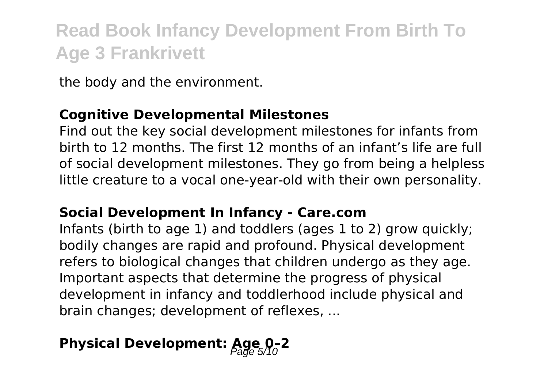the body and the environment.

### **Cognitive Developmental Milestones**

Find out the key social development milestones for infants from birth to 12 months. The first 12 months of an infant's life are full of social development milestones. They go from being a helpless little creature to a vocal one-year-old with their own personality.

#### **Social Development In Infancy - Care.com**

Infants (birth to age 1) and toddlers (ages 1 to 2) grow quickly; bodily changes are rapid and profound. Physical development refers to biological changes that children undergo as they age. Important aspects that determine the progress of physical development in infancy and toddlerhood include physical and brain changes; development of reflexes, ...

# **Physical Development: Age 0-2**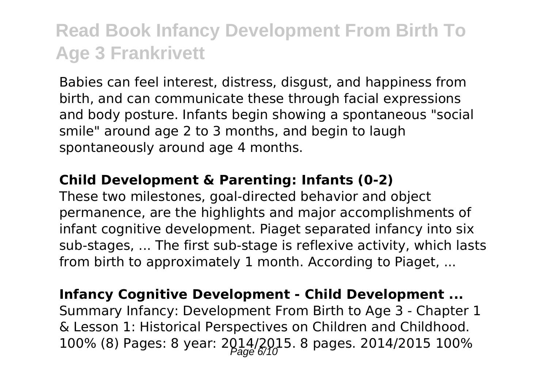Babies can feel interest, distress, disgust, and happiness from birth, and can communicate these through facial expressions and body posture. Infants begin showing a spontaneous "social smile" around age 2 to 3 months, and begin to laugh spontaneously around age 4 months.

#### **Child Development & Parenting: Infants (0-2)**

These two milestones, goal-directed behavior and object permanence, are the highlights and major accomplishments of infant cognitive development. Piaget separated infancy into six sub-stages, ... The first sub-stage is reflexive activity, which lasts from birth to approximately 1 month. According to Piaget, ...

#### **Infancy Cognitive Development - Child Development ...**

Summary Infancy: Development From Birth to Age 3 - Chapter 1 & Lesson 1: Historical Perspectives on Children and Childhood. 100% (8) Pages: 8 year: 2014/2015. 8 pages. 2014/2015 100%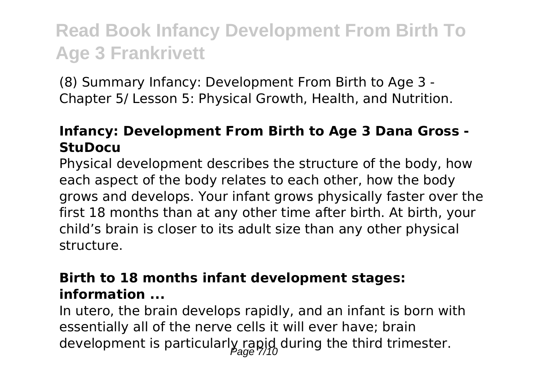(8) Summary Infancy: Development From Birth to Age 3 - Chapter 5/ Lesson 5: Physical Growth, Health, and Nutrition.

### **Infancy: Development From Birth to Age 3 Dana Gross - StuDocu**

Physical development describes the structure of the body, how each aspect of the body relates to each other, how the body grows and develops. Your infant grows physically faster over the first 18 months than at any other time after birth. At birth, your child's brain is closer to its adult size than any other physical structure.

#### **Birth to 18 months infant development stages: information ...**

In utero, the brain develops rapidly, and an infant is born with essentially all of the nerve cells it will ever have; brain development is particularly rapid during the third trimester.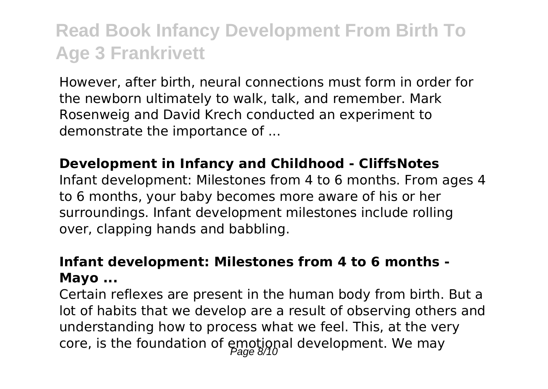However, after birth, neural connections must form in order for the newborn ultimately to walk, talk, and remember. Mark Rosenweig and David Krech conducted an experiment to demonstrate the importance of ...

### **Development in Infancy and Childhood - CliffsNotes**

Infant development: Milestones from 4 to 6 months. From ages 4 to 6 months, your baby becomes more aware of his or her surroundings. Infant development milestones include rolling over, clapping hands and babbling.

### **Infant development: Milestones from 4 to 6 months - Mayo ...**

Certain reflexes are present in the human body from birth. But a lot of habits that we develop are a result of observing others and understanding how to process what we feel. This, at the very core, is the foundation of emotional development. We may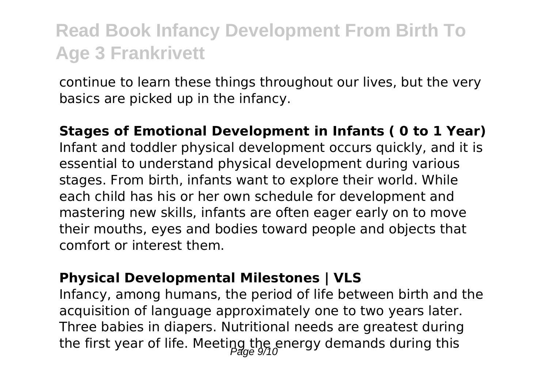continue to learn these things throughout our lives, but the very basics are picked up in the infancy.

**Stages of Emotional Development in Infants ( 0 to 1 Year)** Infant and toddler physical development occurs quickly, and it is essential to understand physical development during various stages. From birth, infants want to explore their world. While each child has his or her own schedule for development and mastering new skills, infants are often eager early on to move their mouths, eyes and bodies toward people and objects that comfort or interest them.

#### **Physical Developmental Milestones | VLS**

Infancy, among humans, the period of life between birth and the acquisition of language approximately one to two years later. Three babies in diapers. Nutritional needs are greatest during the first year of life. Meeting the energy demands during this